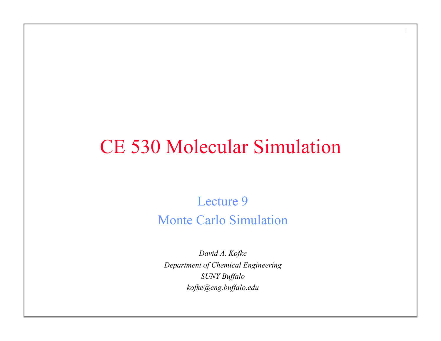### CE 530 Molecular Simulation

1

Lecture 9 Monte Carlo Simulation

*David A. Kofke Department of Chemical Engineering SUNY Buffalo kofke@eng.buffalo.edu*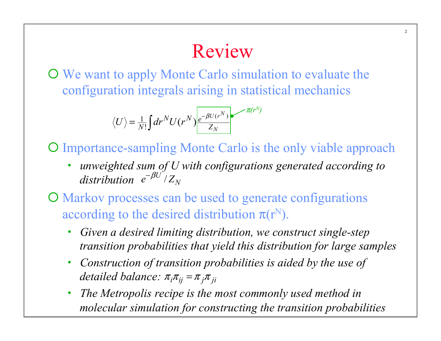# Review

2

¡ We want to apply Monte Carlo simulation to evaluate the configuration integrals arising in statistical mechanics

$$
\langle U \rangle = \frac{1}{N!} \int dr^N U(r^N) \frac{e^{-\beta U(r^N)}}{Z_N} e^{-\pi (r^N)}
$$

O Importance-sampling Monte Carlo is the only viable approach

• *unweighted sum of U with configurations generated according to*   $distribution$   $e^{-\beta U^{\circ}}/Z_N$ 

¡ Markov processes can be used to generate configurations according to the desired distribution  $\pi(r^N)$ .

- *Given a desired limiting distribution, we construct single-step transition probabilities that yield this distribution for large samples*
- *Construction of transition probabilities is aided by the use of*   $delta$  balance:  $\pi_i \pi_{ij} = \pi_j \pi_{ji}$
- *The Metropolis recipe is the most commonly used method in molecular simulation for constructing the transition probabilities*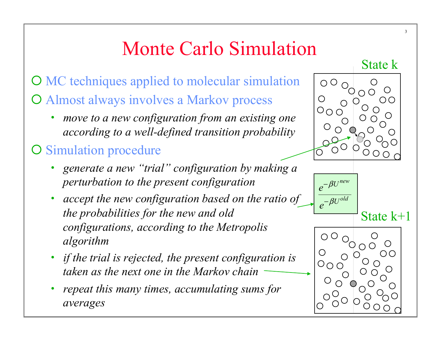# Monte Carlo Simulation

O MC techniques applied to molecular simulation O Almost always involves a Markov process

• *move to a new configuration from an existing one according to a well-defined transition probability* 

#### O Simulation procedure

- *generate a new "trial" configuration by making a perturbation to the present configuration*
- *accept the new configuration based on the ratio of the probabilities for the new and old configurations, according to the Metropolis algorithm*
- *if the trial is rejected, the present configuration is taken as the next one in the Markov chain*
- *repeat this many times, accumulating sums for averages*





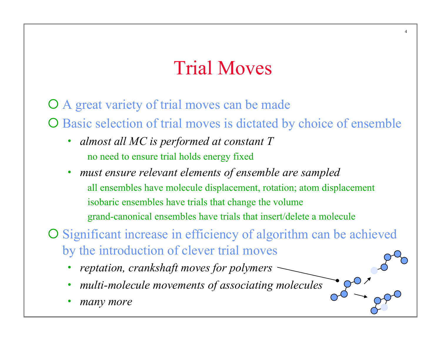### Trial Moves

4

O A great variety of trial moves can be made O Basic selection of trial moves is dictated by choice of ensemble

- *almost all MC is performed at constant T*  no need to ensure trial holds energy fixed
	- *must ensure relevant elements of ensemble are sampled*  all ensembles have molecule displacement, rotation; atom displacement isobaric ensembles have trials that change the volume grand-canonical ensembles have trials that insert/delete a molecule

O Significant increase in efficiency of algorithm can be achieved by the introduction of clever trial moves

- *reptation, crankshaft moves for polymers*
- *multi-molecule movements of associating molecules*
- *many more*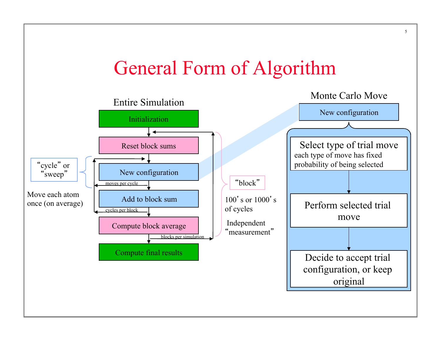# General Form of Algorithm

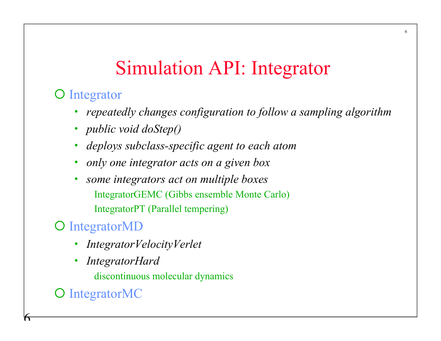# Simulation API: Integrator

#### **O** Integrator

• *repeatedly changes configuration to follow a sampling algorithm* 

6

- *public void doStep()*
- *deploys subclass-specific agent to each atom*
- *only one integrator acts on a given box*
- *some integrators act on multiple boxes*  IntegratorGEMC (Gibbs ensemble Monte Carlo) IntegratorPT (Parallel tempering)

#### O IntegratorMD

- *IntegratorVelocityVerlet*
- *IntegratorHard*

discontinuous molecular dynamics

O IntegratorMC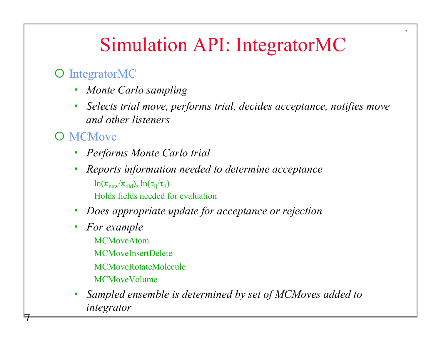### Simulation API: IntegratorMC

7

#### O IntegratorMC

- *Monte Carlo sampling*
- *Selects trial move, performs trial, decides acceptance, notifies move and other listeners*

#### O MCMove

- *Performs Monte Carlo trial*
- *Reports information needed to determine acceptance*   $\ln(\pi_{\text{new}}/\pi_{\text{old}}), \ln(\tau_{\text{ij}}/\tau_{\text{ij}})$ Holds fields needed for evaluation
- *Does appropriate update for acceptance or rejection*
- *For example*  MCMoveAtom MCMoveInsertDelete MCMoveRotateMolecule MCMoveVolume
- *Sampled ensemble is determined by set of MCMoves added to integrator*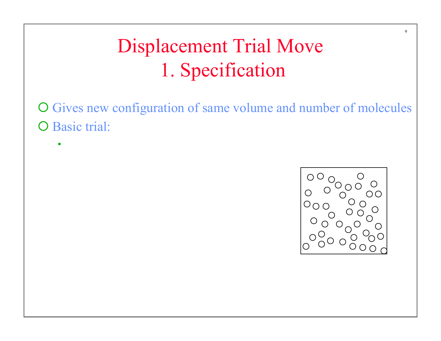O Gives new configuration of same volume and number of molecules O Basic trial:

•

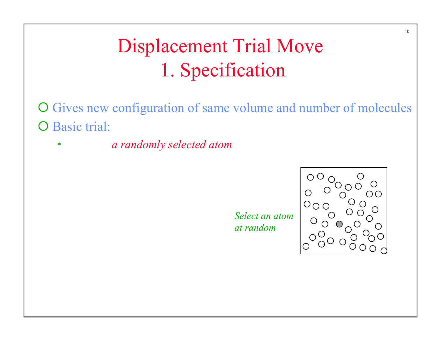O Gives new configuration of same volume and number of molecules O Basic trial:

• *displace a randomly selected atom to a point chosen with uniform* 

*Select an atom at random*

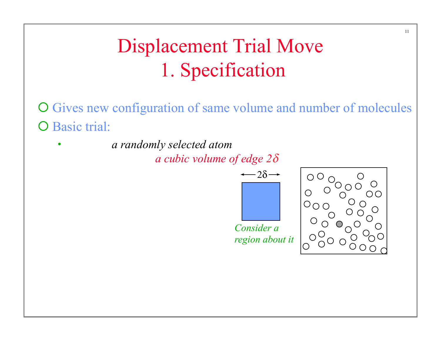O Gives new configuration of same volume and number of molecules O Basic trial:

• *displace a randomly selected atom to a point chosen with uniform* 

*a cubic volume of edge 2δ* 

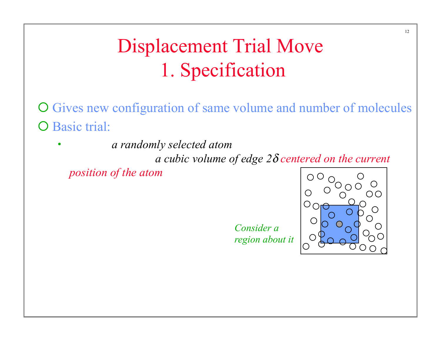O Gives new configuration of same volume and number of molecules O Basic trial:

• *displace a randomly selected atom to a point chosen with uniform probability inside a cubic volume of edge 2*δ *centered on the current* 

*position of the atom*

*Consider a region about it*

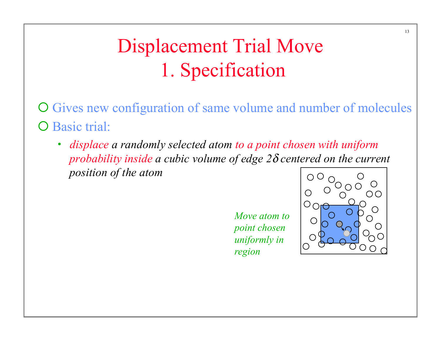O Gives new configuration of same volume and number of molecules O Basic trial:

• *displace a randomly selected atom to a point chosen with uniform probability inside a cubic volume of edge 2*δ *centered on the current position of the atom* 

> *Move atom to point chosen uniformly in region*

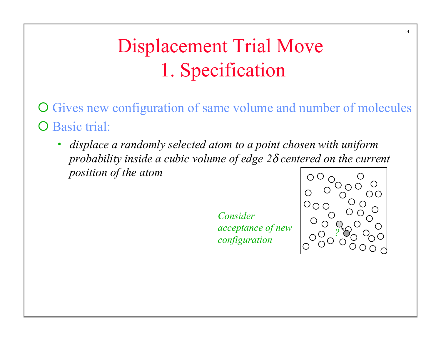$\overline{O}$  Gives new configuration of same volume and number of molecules O Basic trial:

• *displace a randomly selected atom to a point chosen with uniform probability inside a cubic volume of edge 2*δ *centered on the current position of the atom* 

> *Consider acceptance of new configuration*

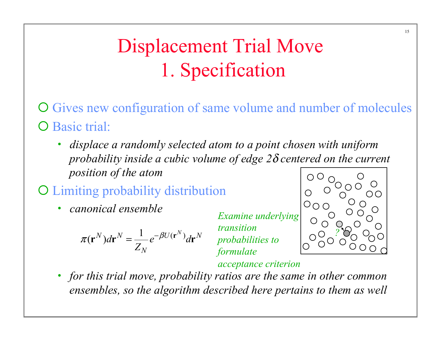- O Gives new configuration of same volume and number of molecules O Basic trial:
	- *displace a randomly selected atom to a point chosen with uniform probability inside a cubic volume of edge 2*δ *centered on the current position of the atom*
- ¡ Limiting probability distribution
	- *canonical ensemble*

$$
\pi(\mathbf{r}^N)d\mathbf{r}^N = \frac{1}{Z_N}e^{-\beta U(\mathbf{r}^N)}d\mathbf{r}^N
$$

*Examine underlying transition probabilities to formulate* 



*acceptance criterion*

• *for this trial move, probability ratios are the same in other common ensembles, so the algorithm described here pertains to them as well*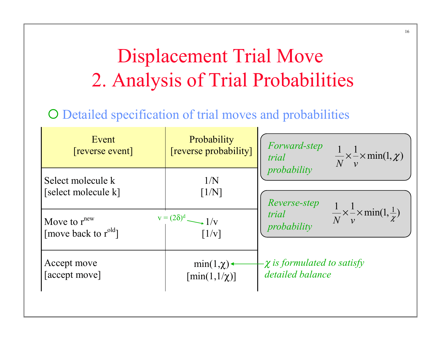# Displacement Trial Move 2. Analysis of Trial Probabilities

16

#### O Detailed specification of trial moves and probabilities

| Event<br>[reverse event]         | Probability<br>[reverse probability]    | <i>Forward-step</i><br>$\frac{1}{N} \times \frac{1}{\nu} \times \min(1, \chi)$<br>trial |
|----------------------------------|-----------------------------------------|-----------------------------------------------------------------------------------------|
| Select molecule k                | 1/N                                     | probability                                                                             |
| [select molecule k]              | [1/N]                                   | Reverse-step                                                                            |
| Move to $r^{new}$                | $v = (2\delta)^d$ $\longrightarrow$ 1/v | trial $\frac{1}{N} \times \frac{1}{v} \times \min(1, \frac{1}{\chi})$                   |
| [move back to r <sup>old</sup> ] | $\lceil 1/v \rceil$                     | probability                                                                             |
| Accept move                      | $min(1, \chi)$                          | $-\chi$ is formulated to satisfy                                                        |
| [accept move]                    | $[\min(1,1/\chi)]$                      | detailed balance                                                                        |
|                                  |                                         |                                                                                         |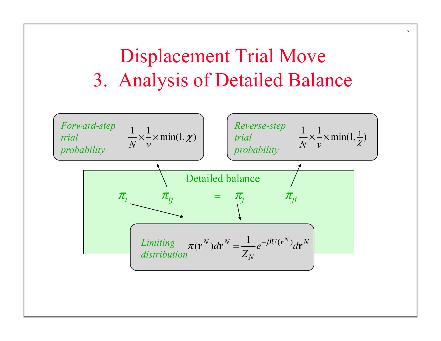### Displacement Trial Move 3. Analysis of Detailed Balance

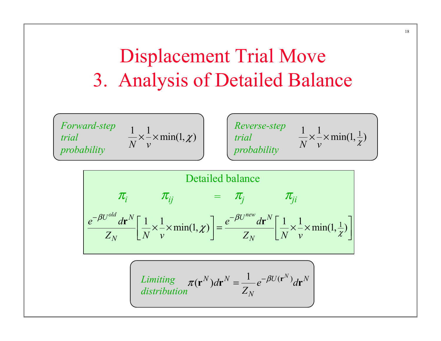### Displacement Trial Move 3. Analysis of Detailed Balance

*Forward-step trial probability* 

$$
\frac{1}{N} \times \frac{1}{v} \times \min(1, \chi)
$$

*Reverse-step trial probability*   $\frac{1}{N} \times \frac{1}{v} \times \min(1, \frac{1}{\chi})$  $\times \angle X$ 

$$
\mathcal{T}_i \qquad \mathcal{T}_{ij} = \mathcal{T}_j \qquad \mathcal{T}_{ji}
$$
\n
$$
e^{-\beta U^{old}} dr^N \left[ \frac{1}{N} \times \frac{1}{V} \times \min(1, \chi) \right] = \frac{e^{-\beta U^{new}} dr^N}{Z_N} \left[ \frac{1}{N} \times \frac{1}{V} \times \min(1, \frac{1}{\chi}) \right]
$$

*Limiting*  

$$
\pi(\mathbf{r}^N)d\mathbf{r}^N = \frac{1}{Z_N}e^{-\beta U(\mathbf{r}^N)}d\mathbf{r}^N
$$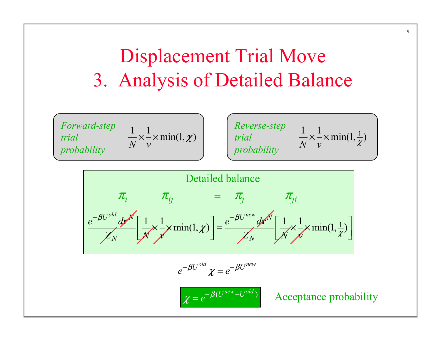### Displacement Trial Move 3. Analysis of Detailed Balance









 $e^{-\beta U^{old}} \chi = e^{-\beta U^{new}}$ 

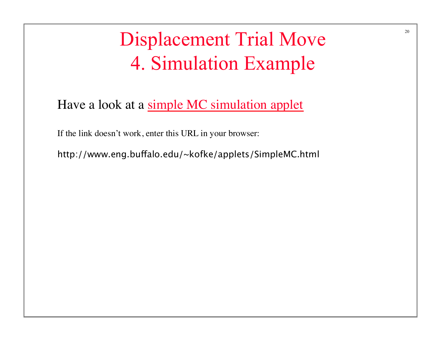# Displacement Trial Move 4. Simulation Example

Have a look at a simple MC simulation applet

If the link doesn't work, enter this URL in your browser:

http://www.eng.bufalo.edu/~kofke/applets/SimpleMC.html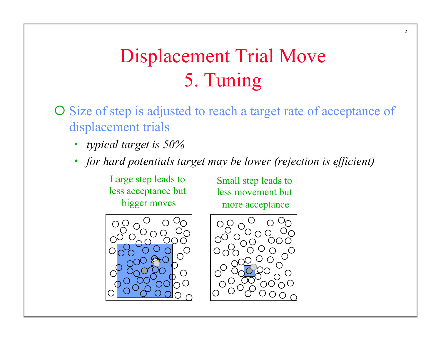## Displacement Trial Move 5. Tuning

- $\overline{O}$  Size of step is adjusted to reach a target rate of acceptance of displacement trials
	- *typical target is 50%*
	- *for hard potentials target may be lower (rejection is efficient)*

Large step leads to less acceptance but bigger moves

Small step leads to less movement but more acceptance



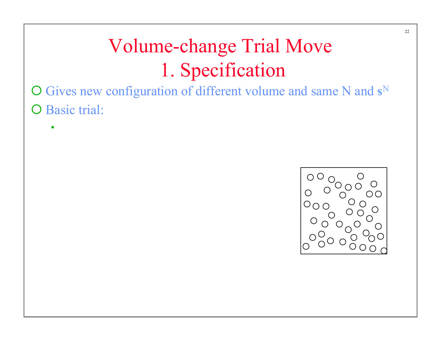¡ Gives new configuration of different volume and same N and **s**<sup>N</sup> O Basic trial:

•

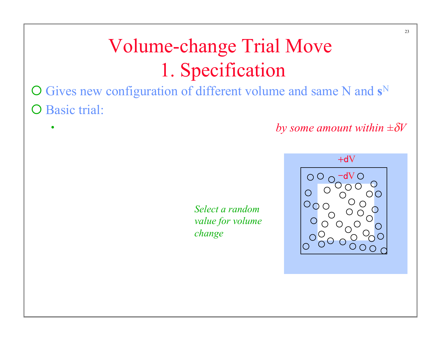¡ Gives new configuration of different volume and same N and **s**<sup>N</sup> O Basic trial:

 $+dV$ 

*Select a random value for volume change*



*by some amount within*  $\pm \delta V$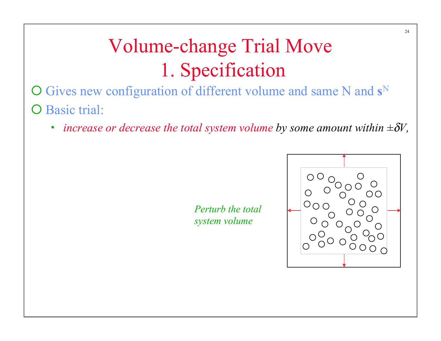- ¡ Gives new configuration of different volume and same N and **s**<sup>N</sup> O Basic trial:
	- *increase or decrease the total system volume by some amount within*  $\pm \delta V$ ,

*Perturb the total system volume*

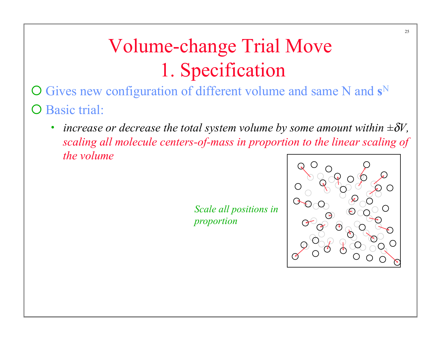¡ Gives new configuration of different volume and same N and **s**<sup>N</sup> O Basic trial:

*increase or decrease the total system volume by some amount within*  $\pm \delta V$ , *scaling all molecule centers-of-mass in proportion to the linear scaling of the volume*

> *Scale all positions in proportion*

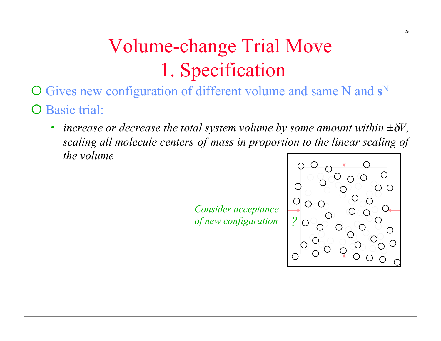¡ Gives new configuration of different volume and same N and **s**<sup>N</sup> O Basic trial:

*increase or decrease the total system volume by some amount within*  $\pm \delta V$ , *scaling all molecule centers-of-mass in proportion to the linear scaling of the volume* 

> *Consider acceptance*   $of$  *new configuration*

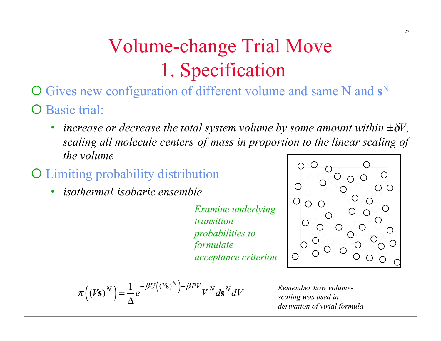- ¡ Gives new configuration of different volume and same N and **s**<sup>N</sup> O Basic trial:
	- *increase or decrease the total system volume by some amount within*  $\pm \delta V$ , *scaling all molecule centers-of-mass in proportion to the linear scaling of the volume*
- ¡ Limiting probability distribution
	- *isothermal-isobaric ensemble*

*Examine underlying transition probabilities to formulate acceptance criterion*



$$
\pi((V\mathbf{s})^N) = \frac{1}{\Delta}e^{-\beta U((V\mathbf{s})^N)-\beta PV}V^N d\mathbf{s}^N dV
$$

*Remember how volumescaling was used in derivation of virial formula*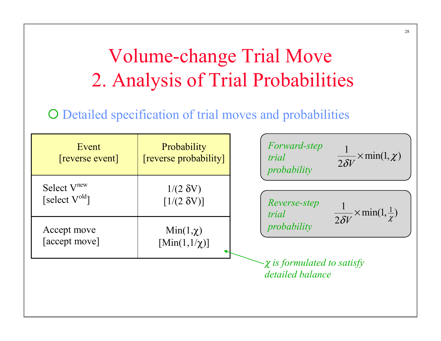# Volume-change Trial Move 2. Analysis of Trial Probabilities

28

#### O Detailed specification of trial moves and probabilities

| Event<br>[reverse event]                       | Probability<br>[reverse probability]      | Forward-step<br>$\overline{2\delta V}$ × min(1, $\chi$ )<br>trial<br>probability |
|------------------------------------------------|-------------------------------------------|----------------------------------------------------------------------------------|
| Select V <sup>new</sup><br>[select $V^{old}$ ] | $1/(2 \delta V)$<br>$[1/(2 \delta V)]$    | Reverse-step<br>$\frac{1}{2\delta V}$ × min(1, $\frac{1}{\gamma}$ )<br>trial     |
| Accept move<br>[accept move]                   | $Min(1,\chi)$<br>$[\text{Min}(1,1/\chi)]$ | probability                                                                      |
|                                                |                                           | $-\chi$ is formulated to satisfy<br>detailed balance                             |
|                                                |                                           |                                                                                  |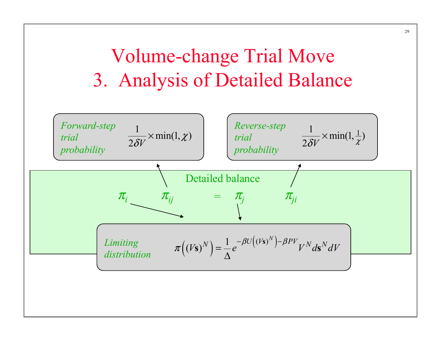# Volume-change Trial Move 3. Analysis of Detailed Balance

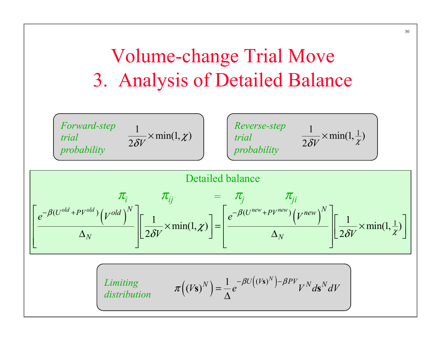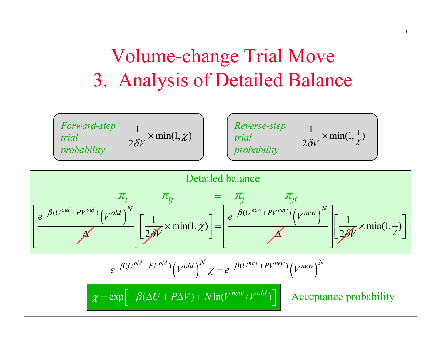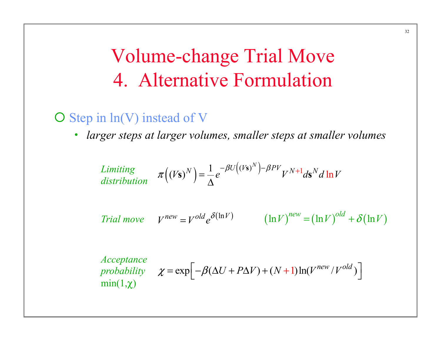### Volume-change Trial Move 4. Alternative Formulation

#### $\bigcirc$  Step in  $ln(V)$  instead of V

• *larger steps at larger volumes, smaller steps at smaller volumes* 

*Limiting*  
*distribution* 
$$
\pi((V\mathbf{s})^N) = \frac{1}{\Delta}e^{-\beta U((V\mathbf{s})^N) - \beta PV}V^{N+1}d\mathbf{s}^N d\ln V
$$
  
*Trial move*  $V^{new} = V^{old}e^{\delta(\ln V)}$   $(\ln V)^{new} = (\ln V)^{old} + \delta(\ln V)$   
*Acceptance*  
*probability*  $\chi = \exp[-\beta(\Delta U + P\Delta V) + (N+1)\ln(V^{new}/V^{old})]$   
 $\min(1,\chi)$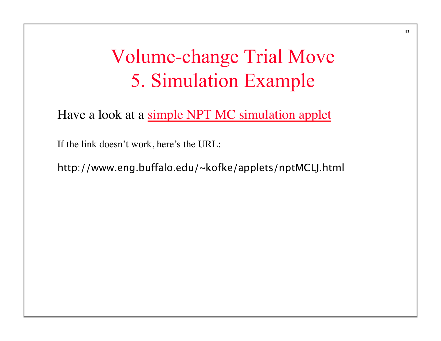### Volume-change Trial Move 5. Simulation Example

Have a look at a simple NPT MC simulation applet

If the link doesn't work, here's the URL:

http://www.eng.bufalo.edu/~kofke/applets/nptMCLJ.html